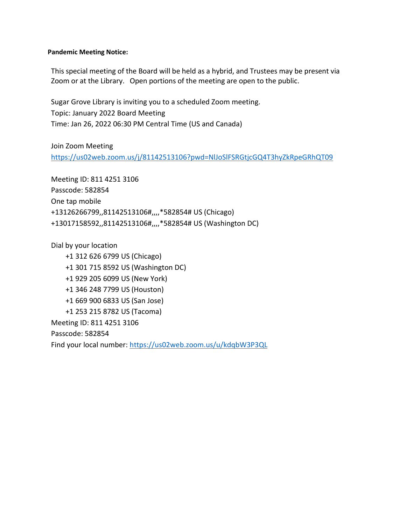# **Pandemic Meeting Notice:**

This special meeting of the Board will be held as a hybrid, and Trustees may be present via Zoom or at the Library. Open portions of the meeting are open to the public.

Sugar Grove Library is inviting you to a scheduled Zoom meeting. Topic: January 2022 Board Meeting Time: Jan 26, 2022 06:30 PM Central Time (US and Canada)

Join Zoom Meeting <https://us02web.zoom.us/j/81142513106?pwd=NlJoSlFSRGtjcGQ4T3hyZkRpeGRhQT09>

Meeting ID: 811 4251 3106 Passcode: 582854 One tap mobile +13126266799,,81142513106#,,,,\*582854# US (Chicago) +13017158592,,81142513106#,,,,\*582854# US (Washington DC)

Dial by your location +1 312 626 6799 US (Chicago) +1 301 715 8592 US (Washington DC) +1 929 205 6099 US (New York) +1 346 248 7799 US (Houston) +1 669 900 6833 US (San Jose) +1 253 215 8782 US (Tacoma) Meeting ID: 811 4251 3106 Passcode: 582854 Find your local number:<https://us02web.zoom.us/u/kdqbW3P3QL>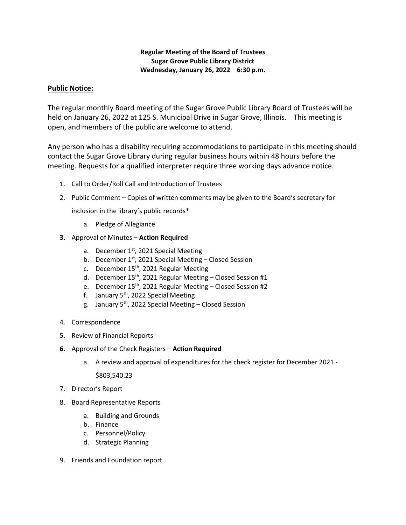# **Regular Meeting of the Board of Trustees Sugar Grove Public Library District Wednesday, January 26, 2022 6:30 p.m.**

# **Public Notice:**

The regular monthly Board meeting of the Sugar Grove Public Library Board of Trustees will be held on January 26, 2022 at 125 S. Municipal Drive in Sugar Grove, Illinois. This meeting is open, and members of the public are welcome to attend.

Any person who has a disability requiring accommodations to participate in this meeting should contact the Sugar Grove Library during regular business hours within 48 hours before the meeting. Requests for a qualified interpreter require three working days advance notice.

- 1. Call to Order/Roll Call and Introduction of Trustees
- 2. Public Comment Copies of written comments may be given to the Board's secretary for

inclusion in the library's public records\*

- a. Pledge of Allegiance
- **3.** Approval of Minutes **Action Required**
	- a. December  $1<sup>st</sup>$ , 2021 Special Meeting
	- b. December  $1<sup>st</sup>$ , 2021 Special Meeting Closed Session
	- c. December 15<sup>th</sup>, 2021 Regular Meeting
	- d. December  $15^{th}$ , 2021 Regular Meeting Closed Session #1
	- e. December 15<sup>th</sup>, 2021 Regular Meeting Closed Session #2
	- f. January  $5<sup>th</sup>$ , 2022 Special Meeting
	- g. January 5<sup>th</sup>, 2022 Special Meeting Closed Session
- 4. Correspondence
- 5. Review of Financial Reports
- **6.** Approval of the Check Registers **Action Required**
	- a. A review and approval of expenditures for the check register for December 2021 -

\$803,540.23

- 7. Director's Report
- 8. Board Representative Reports
	- a. Building and Grounds
	- b. Finance
	- c. Personnel/Policy
	- d. Strategic Planning
- 9. Friends and Foundation report